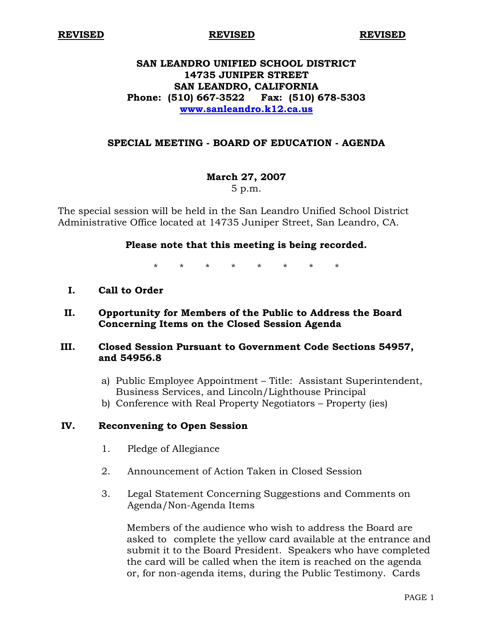**REVISED REVISED REVISED**

## **SAN LEANDRO UNIFIED SCHOOL DISTRICT 14735 JUNIPER STREET SAN LEANDRO, CALIFORNIA Phone: (510) 667-3522 Fax: (510) 678-5303 www.sanleandro.k12.ca.us**

#### **SPECIAL MEETING - BOARD OF EDUCATION - AGENDA**

# **March 27, 2007**

5 p.m.

The special session will be held in the San Leandro Unified School District Administrative Office located at 14735 Juniper Street, San Leandro, CA.

#### **Please note that this meeting is being recorded.**

\* \* \* \* \* \* \* \*

**I. Call to Order** 

#### **II. Opportunity for Members of the Public to Address the Board Concerning Items on the Closed Session Agenda**

#### **III. Closed Session Pursuant to Government Code Sections 54957, and 54956.8**

- a) Public Employee Appointment Title: Assistant Superintendent, Business Services, and Lincoln/Lighthouse Principal
- b) Conference with Real Property Negotiators Property (ies)

### **IV. Reconvening to Open Session**

- 1. Pledge of Allegiance
- 2. Announcement of Action Taken in Closed Session
- 3. Legal Statement Concerning Suggestions and Comments on Agenda/Non-Agenda Items

 Members of the audience who wish to address the Board are asked to complete the yellow card available at the entrance and submit it to the Board President. Speakers who have completed the card will be called when the item is reached on the agenda or, for non-agenda items, during the Public Testimony. Cards